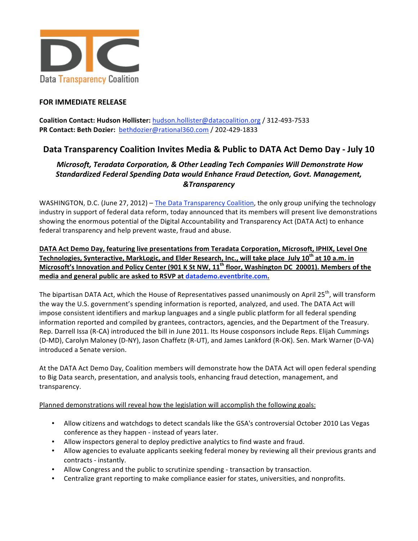

## **FOR
IMMEDIATE
RELEASE**

Coalition Contact: Hudson Hollister: hudson.hollister@datacoalition.org / 312-493-7533 PR Contact: Beth Dozier: bethdozier@rational360.com / 202-429-1833

## Data Transparency Coalition Invites Media & Public to DATA Act Demo Day - July 10

## *Microsoft,
Teradata
Corporation,
&
Other
Leading
Tech
Companies
Will
Demonstrate
How Standardized
Federal
Spending
Data
would
Enhance
Fraud
Detection,
Govt.
Management, &Transparency*

WASHINGTON, D.C. (June 27, 2012) – The Data Transparency Coalition, the only group unifying the technology industry in support of federal data reform, today announced that its members will present live demonstrations showing the enormous potential of the Digital Accountability and Transparency Act (DATA Act) to enhance federal
transparency
and
help
prevent
waste,
fraud
and
abuse.

DATA Act Demo Day, featuring live presentations from Teradata Corporation, Microsoft, IPHIX, Level One Technologies, Synteractive, MarkLogic, and Elder Research, Inc., will take place July 10<sup>th</sup> at 10 a.m. in Microsoft's Innovation and Policy Center (901 K St NW, 11<sup>th</sup> floor, Washington DC 20001). Members of the **media
and
general
public
are
asked
to
RSVP
at
datademo.eventbrite.com.**

The bipartisan DATA Act, which the House of Representatives passed unanimously on April 25<sup>th</sup>, will transform the way the U.S. government's spending information is reported, analyzed, and used. The DATA Act will impose consistent identifiers and markup languages and a single public platform for all federal spending information reported and compiled by grantees, contractors, agencies, and the Department of the Treasury. Rep. Darrell Issa (R-CA) introduced the bill in June 2011. Its House cosponsors include Reps. Elijah Cummings (D-MD), Carolyn Maloney (D-NY), Jason Chaffetz (R-UT), and James Lankford (R-OK). Sen. Mark Warner (D-VA) introduced
a
Senate
version.

At
the
DATA
Act
Demo
Day,
Coalition
members
will
demonstrate
how
the
DATA
Act
will
open
federal
spending to Big Data search, presentation, and analysis tools, enhancing fraud detection, management, and transparency.

Planned demonstrations will reveal how the legislation will accomplish the following goals:

- Allow citizens and watchdogs to detect scandals like the GSA's controversial October 2010 Las Vegas conference
as
they
happen
‐
instead
of
years
later.
- Allow inspectors general to deploy predictive analytics to find waste and fraud.
- Allow agencies to evaluate applicants seeking federal money by reviewing all their previous grants and contracts
‐
instantly.
- Allow Congress and the public to scrutinize spending transaction by transaction.
- Centralize grant reporting to make compliance easier for states, universities, and nonprofits.